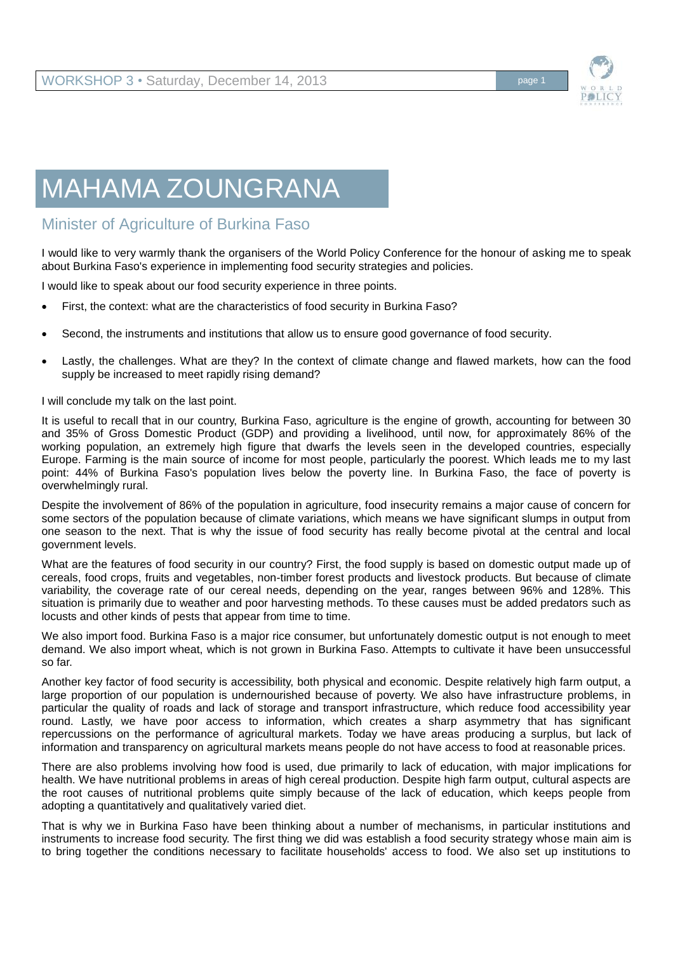

## MAHAMA ZOUNGRANA

## Minister of Agriculture of Burkina Faso

I would like to very warmly thank the organisers of the World Policy Conference for the honour of asking me to speak about Burkina Faso's experience in implementing food security strategies and policies.

I would like to speak about our food security experience in three points.

- First, the context: what are the characteristics of food security in Burkina Faso?
- Second, the instruments and institutions that allow us to ensure good governance of food security.
- Lastly, the challenges. What are they? In the context of climate change and flawed markets, how can the food supply be increased to meet rapidly rising demand?

I will conclude my talk on the last point.

It is useful to recall that in our country, Burkina Faso, agriculture is the engine of growth, accounting for between 30 and 35% of Gross Domestic Product (GDP) and providing a livelihood, until now, for approximately 86% of the working population, an extremely high figure that dwarfs the levels seen in the developed countries, especially Europe. Farming is the main source of income for most people, particularly the poorest. Which leads me to my last point: 44% of Burkina Faso's population lives below the poverty line. In Burkina Faso, the face of poverty is overwhelmingly rural.

Despite the involvement of 86% of the population in agriculture, food insecurity remains a major cause of concern for some sectors of the population because of climate variations, which means we have significant slumps in output from one season to the next. That is why the issue of food security has really become pivotal at the central and local government levels.

What are the features of food security in our country? First, the food supply is based on domestic output made up of cereals, food crops, fruits and vegetables, non-timber forest products and livestock products. But because of climate variability, the coverage rate of our cereal needs, depending on the year, ranges between 96% and 128%. This situation is primarily due to weather and poor harvesting methods. To these causes must be added predators such as locusts and other kinds of pests that appear from time to time.

We also import food. Burkina Faso is a major rice consumer, but unfortunately domestic output is not enough to meet demand. We also import wheat, which is not grown in Burkina Faso. Attempts to cultivate it have been unsuccessful so far.

Another key factor of food security is accessibility, both physical and economic. Despite relatively high farm output, a large proportion of our population is undernourished because of poverty. We also have infrastructure problems, in particular the quality of roads and lack of storage and transport infrastructure, which reduce food accessibility year round. Lastly, we have poor access to information, which creates a sharp asymmetry that has significant repercussions on the performance of agricultural markets. Today we have areas producing a surplus, but lack of information and transparency on agricultural markets means people do not have access to food at reasonable prices.

There are also problems involving how food is used, due primarily to lack of education, with major implications for health. We have nutritional problems in areas of high cereal production. Despite high farm output, cultural aspects are the root causes of nutritional problems quite simply because of the lack of education, which keeps people from adopting a quantitatively and qualitatively varied diet.

That is why we in Burkina Faso have been thinking about a number of mechanisms, in particular institutions and instruments to increase food security. The first thing we did was establish a food security strategy whose main aim is to bring together the conditions necessary to facilitate households' access to food. We also set up institutions to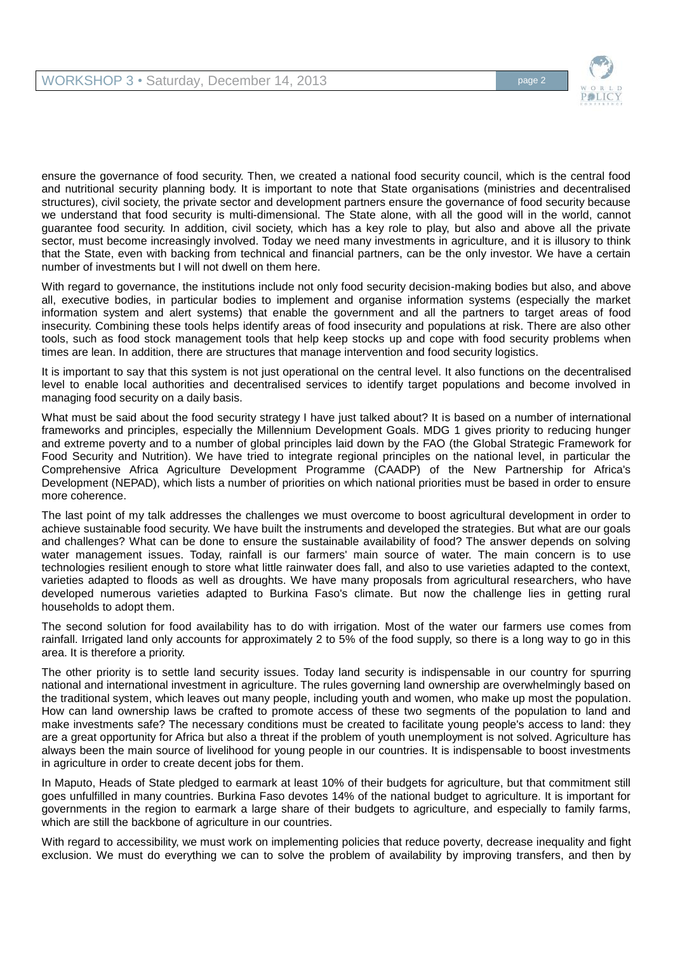

ensure the governance of food security. Then, we created a national food security council, which is the central food and nutritional security planning body. It is important to note that State organisations (ministries and decentralised structures), civil society, the private sector and development partners ensure the governance of food security because we understand that food security is multi-dimensional. The State alone, with all the good will in the world, cannot guarantee food security. In addition, civil society, which has a key role to play, but also and above all the private sector, must become increasingly involved. Today we need many investments in agriculture, and it is illusory to think that the State, even with backing from technical and financial partners, can be the only investor. We have a certain number of investments but I will not dwell on them here.

With regard to governance, the institutions include not only food security decision-making bodies but also, and above all, executive bodies, in particular bodies to implement and organise information systems (especially the market information system and alert systems) that enable the government and all the partners to target areas of food insecurity. Combining these tools helps identify areas of food insecurity and populations at risk. There are also other tools, such as food stock management tools that help keep stocks up and cope with food security problems when times are lean. In addition, there are structures that manage intervention and food security logistics.

It is important to say that this system is not just operational on the central level. It also functions on the decentralised level to enable local authorities and decentralised services to identify target populations and become involved in managing food security on a daily basis.

What must be said about the food security strategy I have just talked about? It is based on a number of international frameworks and principles, especially the Millennium Development Goals. MDG 1 gives priority to reducing hunger and extreme poverty and to a number of global principles laid down by the FAO (the Global Strategic Framework for Food Security and Nutrition). We have tried to integrate regional principles on the national level, in particular the Comprehensive Africa Agriculture Development Programme (CAADP) of the New Partnership for Africa's Development (NEPAD), which lists a number of priorities on which national priorities must be based in order to ensure more coherence.

The last point of my talk addresses the challenges we must overcome to boost agricultural development in order to achieve sustainable food security. We have built the instruments and developed the strategies. But what are our goals and challenges? What can be done to ensure the sustainable availability of food? The answer depends on solving water management issues. Today, rainfall is our farmers' main source of water. The main concern is to use technologies resilient enough to store what little rainwater does fall, and also to use varieties adapted to the context, varieties adapted to floods as well as droughts. We have many proposals from agricultural researchers, who have developed numerous varieties adapted to Burkina Faso's climate. But now the challenge lies in getting rural households to adopt them.

The second solution for food availability has to do with irrigation. Most of the water our farmers use comes from rainfall. Irrigated land only accounts for approximately 2 to 5% of the food supply, so there is a long way to go in this area. It is therefore a priority.

The other priority is to settle land security issues. Today land security is indispensable in our country for spurring national and international investment in agriculture. The rules governing land ownership are overwhelmingly based on the traditional system, which leaves out many people, including youth and women, who make up most the population. How can land ownership laws be crafted to promote access of these two segments of the population to land and make investments safe? The necessary conditions must be created to facilitate young people's access to land: they are a great opportunity for Africa but also a threat if the problem of youth unemployment is not solved. Agriculture has always been the main source of livelihood for young people in our countries. It is indispensable to boost investments in agriculture in order to create decent jobs for them.

In Maputo, Heads of State pledged to earmark at least 10% of their budgets for agriculture, but that commitment still goes unfulfilled in many countries. Burkina Faso devotes 14% of the national budget to agriculture. It is important for governments in the region to earmark a large share of their budgets to agriculture, and especially to family farms, which are still the backbone of agriculture in our countries.

With regard to accessibility, we must work on implementing policies that reduce poverty, decrease inequality and fight exclusion. We must do everything we can to solve the problem of availability by improving transfers, and then by